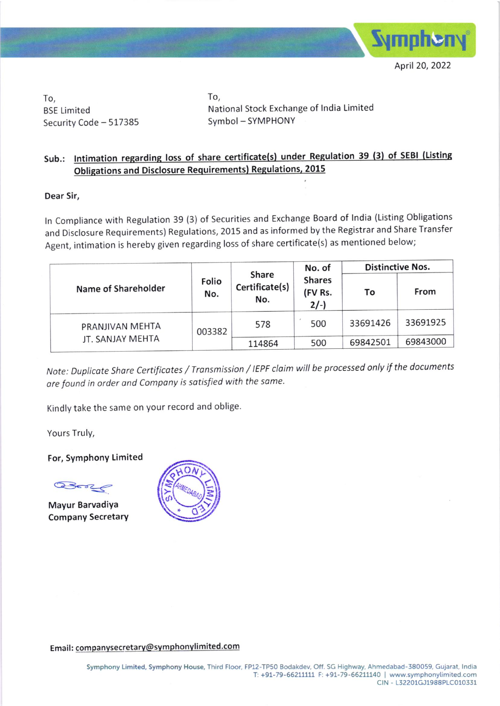

To, BSE Limited Security Code - 517385 To, National Stock Exchange of lndia Limited Symbol - SYMPHONY

## Sub.: Intimation regarding loss of share certificate(s) under Regulation 39 (3) of SEBI (Listing Obligations and Disclosure Requirements) Regulations, 2015

## Dear Sir,

ln compliance with Regulation 39 (3) of securities and Exchange Board of lndia (Listing obligations and Disclosure Requirements) Regulations, 2015 and as informed by the Registrar and Share Transfer Agent, intimation is hereby given regarding loss of share certificate(s) as mentioned below;

|  | Name of Shareholder                 |              |                                | No. of                            | <b>Distinctive Nos.</b> |          |
|--|-------------------------------------|--------------|--------------------------------|-----------------------------------|-------------------------|----------|
|  |                                     | Folio<br>No. | Share<br>Certificate(s)<br>No. | <b>Shares</b><br>(FV Rs.<br>$2/-$ | To                      | From     |
|  | PRANJIVAN MEHTA<br>JT. SANJAY MEHTA | 003382       | 578                            | 500                               | 33691426                | 33691925 |
|  |                                     |              | 114864                         | 500                               | 69842501                | 69843000 |

Note: Duplicote share Certificotes / Tronsmission / IEPF cloim will be processed only if the documents are found in order and Company is satisfied with the same.

Kindly take the same on your record and oblige.

Yours Truly,

For, Symphony Limited

Bon

Mayur Barvadiya Company SecretarY



Email: companysecretary@symphonylimited.com